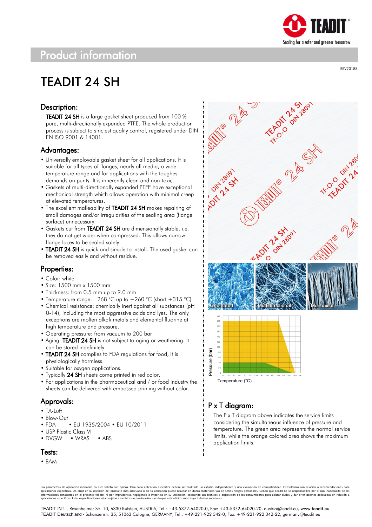

# Product information

# TEADIT 24 SH

### Description:

TEADIT 24 SH is a large gasket sheet produced from 100 % pure, multi-directionally expanded PTFE. The whole production process is subject to strictest quality control, registered under DIN EN ISO 9001 & 14001.

#### Advantages:

- Universally employable gasket sheet for all applications. It is suitable for all types of flanges, nearly all media, a wide temperature range and for applications with the toughest demands on purity. It is inherently clean and non-toxic.
- Gaskets of multi-directionally expanded PTFE have exceptional mechanical strength which allows operation with minimal creep at elevated temperatures.
- The excellent malleability of TEADIT 24 SH makes repairing of small damages and/or irregularities of the sealing area (flange surface) unnecessary.
- Gaskets cut from TEADIT 24 SH are dimensionally stable, i.e. they do not get wider when compressed. This allows narrow flange faces to be sealed safely.
- TEADIT 24 SH is quick and simple to install. The used gasket can be removed easily and without residue.

#### Properties:

- Color: white
- Size: 1500 mm x 1500 mm
- Thickness: from 0.5 mm up to 9.0 mm
- Temperature range: -268 °C up to  $+260$  °C (short  $+315$  °C)
- Chemical resistance: chemically inert against all substances (pH 0-14), including the most aggressive acids and lyes. The only exceptions are molten alkali metals and elemental fluorine at high temperature and pressure.
- Operating pressure: from vacuum to 200 bar
- Aging: TEADIT 24 SH is not subject to aging or weathering. It can be stored indefinitely.
- TEADIT 24 SH complies to FDA regulations for food, it is physiologically harmless.
- Suitable for oxygen applications.
- Typically 24 SH sheets come printed in red color.
- For applications in the pharmaceutical and / or food industry the sheets can be delivered with embossed printing without color.

### Approvals:

- TA-Luft
- Blow-Out
- FDA EU 1935/2004 EU 10/2011
- USP Plastic Class VI
- DVGW WRAS ABS

#### Tests:

• BAM

**Mille Plancie**  $\frac{5}{100}$ 





## P x T diagram:

All 2 A

The P x T diagram above indicates the service limits considering the simultaneous influence of pressure and temperature. The green area represents the normal service limits, while the orange colored area shows the maximum application limits.

Los parámetros de aplicación indicados en este folleto son típicos. Para cada aplicación específica deberá ser realizado un estudio independiente y una evaluación de compatibilidad. Consúltenos con relación a recomendacion aplicaciones específicas. Un error en la selección del producto más adecuado o en su aplicación puede resultar en daños materiales y/o en serios riesgos personales, siendo que Teadit no se responsabiliza por el uso inadecu

TEADIT INT. - Rosenheimer Str. 10, 6330 Kufstein, AUSTRIA, Tel.: +43-5372-64020-0, Fax: +43-5372-64020-20, austria@teadit.eu, www.teadit.eu TEADIT Deutschland - Schanzenstr. 35, 51063 Cologne, GERMANY, Tel.: +49-221-922 342-0, Fax: +49-221-922 342-22, germany@teadit.eu

REV20188